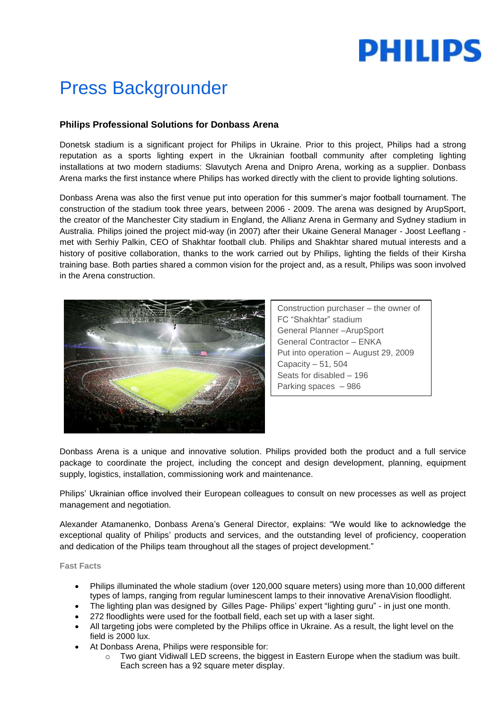## **PHILIPS**

## Press Backgrounder

## **Philips Professional Solutions for Donbass Arena**

Donetsk stadium is a significant project for Philips in Ukraine. Prior to this project, Philips had a strong reputation as a sports lighting expert in the Ukrainian football community after completing lighting installations at two modern stadiums: Slavutych Arena and Dnipro Arena, working as a supplier. Donbass Arena marks the first instance where Philips has worked directly with the client to provide lighting solutions.

Donbass Arena was also the first venue put into operation for this summer's major football tournament. The construction of the stadium took three years, between 2006 - 2009. The arena was designed by ArupSport, the creator of the Manchester City stadium in England, the Allianz Arena in Germany and Sydney stadium in Australia. Philips joined the project mid-way (in 2007) after their Ukaine General Manager - Joost Leeflang met with Serhiy Palkin, CEO of Shakhtar football club. Philips and Shakhtar shared mutual interests and a history of positive collaboration, thanks to the work carried out by Philips, lighting the fields of their Kirsha training base. Both parties shared a common vision for the project and, as a result, Philips was soon involved in the Arena construction.



Construction purchaser – the owner of FC "Shakhtar" stadium General Planner –ArupSport General Contractor – ENKA Put into operation – August 29, 2009 Capacity  $-51, 504$ Seats for disabled – 196 Parking spaces – 986

Donbass Arena is a unique and innovative solution. Philips provided both the product and a full service package to coordinate the project, including the concept and design development, planning, equipment supply, logistics, installation, commissioning work and maintenance.

Philips' Ukrainian office involved their European colleagues to consult on new processes as well as project management and negotiation.

Alexander Atamanenko, Donbass Arena's General Director, explains: "We would like to acknowledge the exceptional quality of Philips' products and services, and the outstanding level of proficiency, cooperation and dedication of the Philips team throughout all the stages of project development."

**Fast Facts**

- Philips illuminated the whole stadium (over 120,000 square meters) using more than 10,000 different types of lamps, ranging from regular luminescent lamps to their innovative ArenaVision floodlight.
- The lighting plan was designed by Gilles Page- Philips' expert "lighting guru" in just one month.
- 272 floodlights were used for the football field, each set up with a laser sight.
- All targeting jobs were completed by the Philips office in Ukraine. As a result, the light level on the field is 2000 lux.
- At Donbass Arena, Philips were responsible for:
	- $\circ$  Two giant Vidiwall LED screens, the biggest in Eastern Europe when the stadium was built. Each screen has a 92 square meter display.